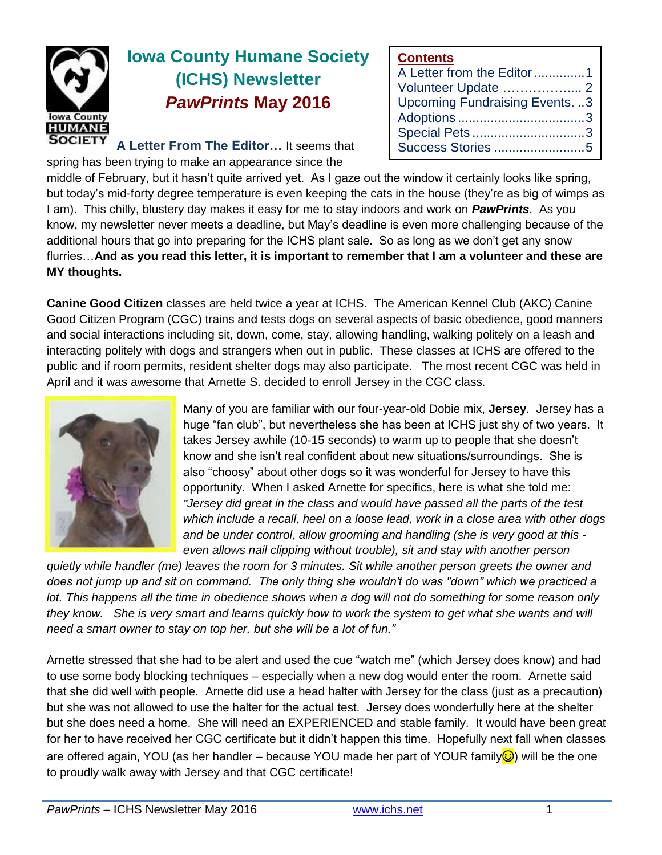

# **Iowa County Humane Society (ICHS) Newsletter** *PawPrints* **May 2016**

**A Letter From The Editor…** It seems that

spring has been trying to make an appearance since the

**Contents**

| A Letter from the Editor 1          |  |
|-------------------------------------|--|
|                                     |  |
| <b>Upcoming Fundraising Events3</b> |  |
|                                     |  |
| Special Pets3                       |  |
|                                     |  |

middle of February, but it hasn't quite arrived yet. As I gaze out the window it certainly looks like spring, but today's mid-forty degree temperature is even keeping the cats in the house (they're as big of wimps as I am). This chilly, blustery day makes it easy for me to stay indoors and work on *PawPrints*. As you know, my newsletter never meets a deadline, but May's deadline is even more challenging because of the additional hours that go into preparing for the ICHS plant sale. So as long as we don't get any snow flurries…**And as you read this letter, it is important to remember that I am a volunteer and these are MY thoughts.**

**Canine Good Citizen** classes are held twice a year at ICHS. The American Kennel Club (AKC) Canine Good Citizen Program (CGC) trains and tests dogs on several aspects of basic obedience, good manners and social interactions including sit, down, come, stay, allowing handling, walking politely on a leash and interacting politely with dogs and strangers when out in public. These classes at ICHS are offered to the public and if room permits, resident shelter dogs may also participate. The most recent CGC was held in April and it was awesome that Arnette S. decided to enroll Jersey in the CGC class.



Many of you are familiar with our four-year-old Dobie mix, **Jersey**. Jersey has a huge "fan club", but nevertheless she has been at ICHS just shy of two years. It takes Jersey awhile (10-15 seconds) to warm up to people that she doesn't know and she isn't real confident about new situations/surroundings. She is also "choosy" about other dogs so it was wonderful for Jersey to have this opportunity. When I asked Arnette for specifics, here is what she told me: *"Jersey did great in the class and would have passed all the parts of the test which include a recall, heel on a loose lead, work in a close area with other dogs and be under control, allow grooming and handling (she is very good at this even allows nail clipping without trouble), sit and stay with another person* 

*quietly while handler (me) leaves the room for 3 minutes. Sit while another person greets the owner and does not jump up and sit on command. The only thing she wouldn't do was "down" which we practiced a lot. This happens all the time in obedience shows when a dog will not do something for some reason only they know. She is very smart and learns quickly how to work the system to get what she wants and will need a smart owner to stay on top her, but she will be a lot of fun."*

Arnette stressed that she had to be alert and used the cue "watch me" (which Jersey does know) and had to use some body blocking techniques – especially when a new dog would enter the room. Arnette said that she did well with people. Arnette did use a head halter with Jersey for the class (just as a precaution) but she was not allowed to use the halter for the actual test. Jersey does wonderfully here at the shelter but she does need a home. She will need an EXPERIENCED and stable family. It would have been great for her to have received her CGC certificate but it didn't happen this time. Hopefully next fall when classes are offered again, YOU (as her handler – because YOU made her part of YOUR family**☉**) will be the one to proudly walk away with Jersey and that CGC certificate!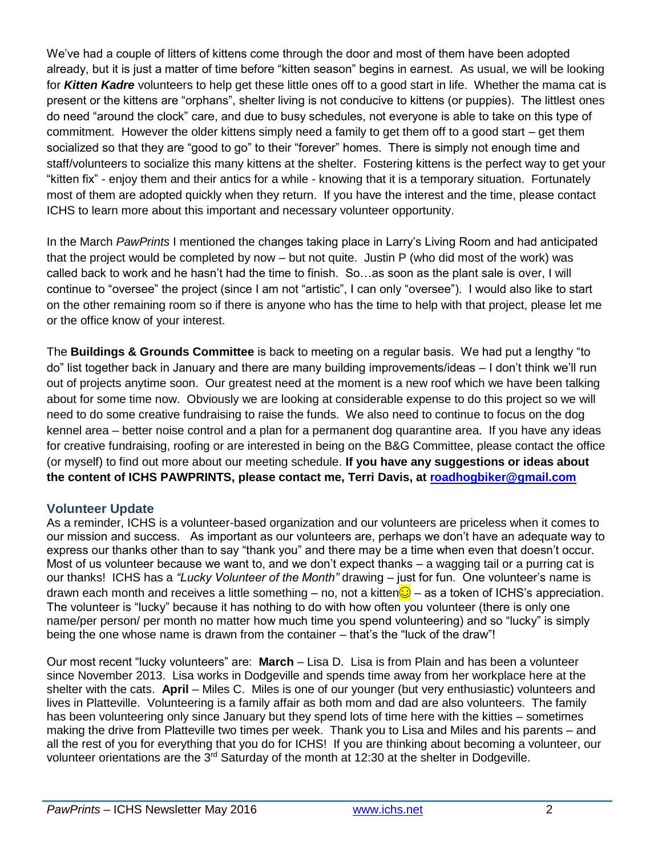We've had a couple of litters of kittens come through the door and most of them have been adopted already, but it is just a matter of time before "kitten season" begins in earnest. As usual, we will be looking for *Kitten Kadre* volunteers to help get these little ones off to a good start in life. Whether the mama cat is present or the kittens are "orphans", shelter living is not conducive to kittens (or puppies). The littlest ones do need "around the clock" care, and due to busy schedules, not everyone is able to take on this type of commitment. However the older kittens simply need a family to get them off to a good start – get them socialized so that they are "good to go" to their "forever" homes. There is simply not enough time and staff/volunteers to socialize this many kittens at the shelter. Fostering kittens is the perfect way to get your "kitten fix" - enjoy them and their antics for a while - knowing that it is a temporary situation. Fortunately most of them are adopted quickly when they return. If you have the interest and the time, please contact ICHS to learn more about this important and necessary volunteer opportunity.

In the March *PawPrints* I mentioned the changes taking place in Larry's Living Room and had anticipated that the project would be completed by now – but not quite. Justin P (who did most of the work) was called back to work and he hasn't had the time to finish. So…as soon as the plant sale is over, I will continue to "oversee" the project (since I am not "artistic", I can only "oversee"). I would also like to start on the other remaining room so if there is anyone who has the time to help with that project, please let me or the office know of your interest.

The **Buildings & Grounds Committee** is back to meeting on a regular basis. We had put a lengthy "to do" list together back in January and there are many building improvements/ideas – I don't think we'll run out of projects anytime soon. Our greatest need at the moment is a new roof which we have been talking about for some time now. Obviously we are looking at considerable expense to do this project so we will need to do some creative fundraising to raise the funds. We also need to continue to focus on the dog kennel area – better noise control and a plan for a permanent dog quarantine area. If you have any ideas for creative fundraising, roofing or are interested in being on the B&G Committee, please contact the office (or myself) to find out more about our meeting schedule. **If you have any suggestions or ideas about the content of ICHS PAWPRINTS, please contact me, Terri Davis, at [roadhogbiker@gmail.com](mailto:roadhogbiker@gmail.com)**

# **Volunteer Update**

As a reminder, ICHS is a volunteer-based organization and our volunteers are priceless when it comes to our mission and success. As important as our volunteers are, perhaps we don't have an adequate way to express our thanks other than to say "thank you" and there may be a time when even that doesn't occur. Most of us volunteer because we want to, and we don't expect thanks – a wagging tail or a purring cat is our thanks! ICHS has a *"Lucky Volunteer of the Month"* drawing – just for fun. One volunteer's name is drawn each month and receives a little something – no, not a kitten $\bigcirc$  – as a token of ICHS's appreciation. The volunteer is "lucky" because it has nothing to do with how often you volunteer (there is only one name/per person/ per month no matter how much time you spend volunteering) and so "lucky" is simply being the one whose name is drawn from the container – that's the "luck of the draw"!

Our most recent "lucky volunteers" are: **March** – Lisa D. Lisa is from Plain and has been a volunteer since November 2013. Lisa works in Dodgeville and spends time away from her workplace here at the shelter with the cats. **April** – Miles C. Miles is one of our younger (but very enthusiastic) volunteers and lives in Platteville. Volunteering is a family affair as both mom and dad are also volunteers. The family has been volunteering only since January but they spend lots of time here with the kitties – sometimes making the drive from Platteville two times per week. Thank you to Lisa and Miles and his parents – and all the rest of you for everything that you do for ICHS! If you are thinking about becoming a volunteer, our volunteer orientations are the 3<sup>rd</sup> Saturday of the month at 12:30 at the shelter in Dodgeville.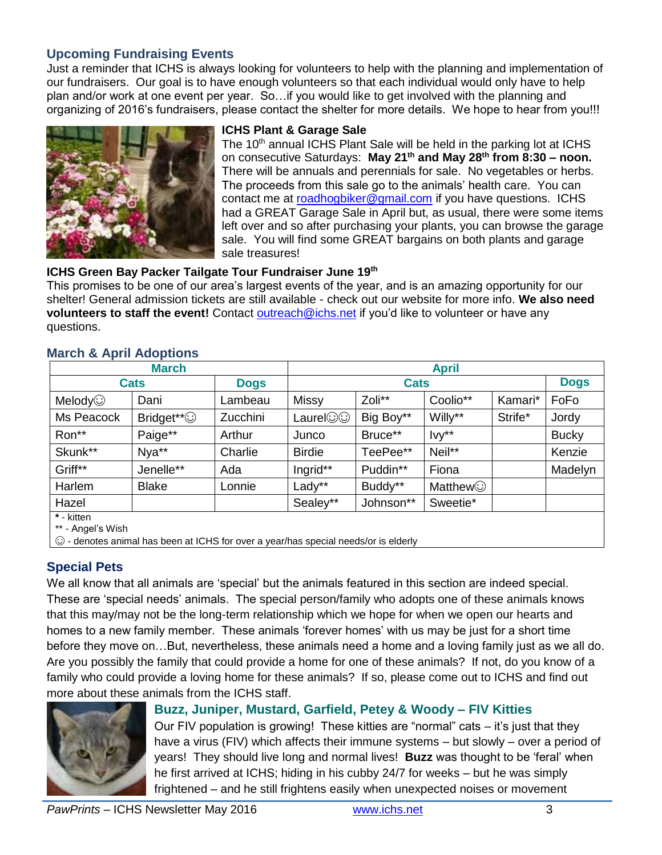## **Upcoming Fundraising Events**

Just a reminder that ICHS is always looking for volunteers to help with the planning and implementation of our fundraisers. Our goal is to have enough volunteers so that each individual would only have to help plan and/or work at one event per year. So…if you would like to get involved with the planning and organizing of 2016's fundraisers, please contact the shelter for more details. We hope to hear from you!!!



#### **ICHS Plant & Garage Sale**

The 10<sup>th</sup> annual ICHS Plant Sale will be held in the parking lot at ICHS on consecutive Saturdays: **May 21th and May 28th from 8:30 – noon.** There will be annuals and perennials for sale. No vegetables or herbs. The proceeds from this sale go to the animals' health care. You can contact me at [roadhogbiker@gmail.com](mailto:roadhogbiker@gmail.com) if you have questions. ICHS had a GREAT Garage Sale in April but, as usual, there were some items left over and so after purchasing your plants, you can browse the garage sale. You will find some GREAT bargains on both plants and garage sale treasures!

#### **ICHS Green Bay Packer Tailgate Tour Fundraiser June 19th**

This promises to be one of our area's largest events of the year, and is an amazing opportunity for our shelter! General admission tickets are still available - check out our website for more info. **We also need volunteers to staff the event!** Contact [outreach@ichs.net](mailto:outreach@ichs.net) if you'd like to volunteer or have any questions.

|                                 | <b>March</b>           | <b>April</b> |               |           |                |         |              |
|---------------------------------|------------------------|--------------|---------------|-----------|----------------|---------|--------------|
| <b>Cats</b>                     |                        | <b>Dogs</b>  | <b>Cats</b>   |           |                |         | <b>Dogs</b>  |
| Melody $\odot$                  | Dani                   | Lambeau      | <b>Missy</b>  | Zoli**    | Coolio**       | Kamari* | FoFo         |
| Ms Peacock                      | Bridget** <sup>©</sup> | Zucchini     | Laurel©©      | Big Boy** | Willy**        | Strife* | Jordy        |
| Ron**                           | Paige**                | Arthur       | Junco         | Bruce**   | $Ivy**$        |         | <b>Bucky</b> |
| Skunk**                         | Nya**                  | Charlie      | <b>Birdie</b> | TeePee**  | Neil**         |         | Kenzie       |
| Griff**                         | Jenelle**              | Ada          | Ingrid**      | Puddin**  | Fiona          |         | Madelyn      |
| Harlem                          | <b>Blake</b>           | Lonnie       | Lady**        | Buddy**   | <b>Matthew</b> |         |              |
| Hazel                           |                        |              | Sealey**      | Johnson** | Sweetie*       |         |              |
| * - kitten<br>** - Angel's Wish |                        |              |               |           |                |         |              |

## **March & April Adoptions**

 $\vert \odot$  - denotes animal has been at ICHS for over a year/has special needs/or is elderly

# **Special Pets**

We all know that all animals are 'special' but the animals featured in this section are indeed special. These are 'special needs' animals. The special person/family who adopts one of these animals knows that this may/may not be the long-term relationship which we hope for when we open our hearts and homes to a new family member. These animals 'forever homes' with us may be just for a short time before they move on…But, nevertheless, these animals need a home and a loving family just as we all do. Are you possibly the family that could provide a home for one of these animals? If not, do you know of a family who could provide a loving home for these animals? If so, please come out to ICHS and find out more about these animals from the ICHS staff.



### **Buzz, Juniper, Mustard, Garfield, Petey & Woody – FIV Kitties**

Our FIV population is growing! These kitties are "normal" cats – it's just that they have a virus (FIV) which affects their immune systems – but slowly – over a period of years! They should live long and normal lives! **Buzz** was thought to be 'feral' when he first arrived at ICHS; hiding in his cubby 24/7 for weeks – but he was simply frightened – and he still frightens easily when unexpected noises or movement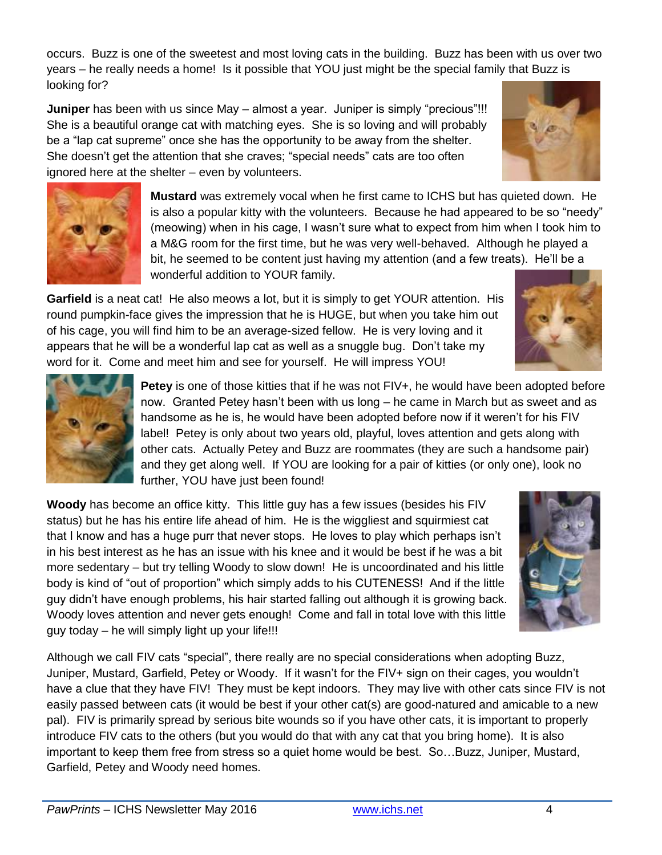occurs. Buzz is one of the sweetest and most loving cats in the building. Buzz has been with us over two years – he really needs a home! Is it possible that YOU just might be the special family that Buzz is looking for?

**Juniper** has been with us since May – almost a year. Juniper is simply "precious"!!! She is a beautiful orange cat with matching eyes. She is so loving and will probably be a "lap cat supreme" once she has the opportunity to be away from the shelter. She doesn't get the attention that she craves; "special needs" cats are too often ignored here at the shelter – even by volunteers.

> **Mustard** was extremely vocal when he first came to ICHS but has quieted down. He is also a popular kitty with the volunteers. Because he had appeared to be so "needy" (meowing) when in his cage, I wasn't sure what to expect from him when I took him to a M&G room for the first time, but he was very well-behaved. Although he played a bit, he seemed to be content just having my attention (and a few treats). He'll be a wonderful addition to YOUR family.

**Garfield** is a neat cat! He also meows a lot, but it is simply to get YOUR attention. His round pumpkin-face gives the impression that he is HUGE, but when you take him out of his cage, you will find him to be an average-sized fellow. He is very loving and it appears that he will be a wonderful lap cat as well as a snuggle bug. Don't take my word for it. Come and meet him and see for yourself. He will impress YOU!

> **Petey** is one of those kitties that if he was not FIV+, he would have been adopted before now. Granted Petey hasn't been with us long – he came in March but as sweet and as handsome as he is, he would have been adopted before now if it weren't for his FIV label! Petey is only about two years old, playful, loves attention and gets along with other cats. Actually Petey and Buzz are roommates (they are such a handsome pair) and they get along well. If YOU are looking for a pair of kitties (or only one), look no further, YOU have just been found!

**Woody** has become an office kitty. This little guy has a few issues (besides his FIV status) but he has his entire life ahead of him. He is the wiggliest and squirmiest cat that I know and has a huge purr that never stops. He loves to play which perhaps isn't in his best interest as he has an issue with his knee and it would be best if he was a bit more sedentary – but try telling Woody to slow down! He is uncoordinated and his little body is kind of "out of proportion" which simply adds to his CUTENESS! And if the little guy didn't have enough problems, his hair started falling out although it is growing back. Woody loves attention and never gets enough! Come and fall in total love with this little guy today – he will simply light up your life!!!

Although we call FIV cats "special", there really are no special considerations when adopting Buzz, Juniper, Mustard, Garfield, Petey or Woody. If it wasn't for the FIV+ sign on their cages, you wouldn't have a clue that they have FIV! They must be kept indoors. They may live with other cats since FIV is not easily passed between cats (it would be best if your other cat(s) are good-natured and amicable to a new pal). FIV is primarily spread by serious bite wounds so if you have other cats, it is important to properly introduce FIV cats to the others (but you would do that with any cat that you bring home). It is also important to keep them free from stress so a quiet home would be best. So…Buzz, Juniper, Mustard, Garfield, Petey and Woody need homes.